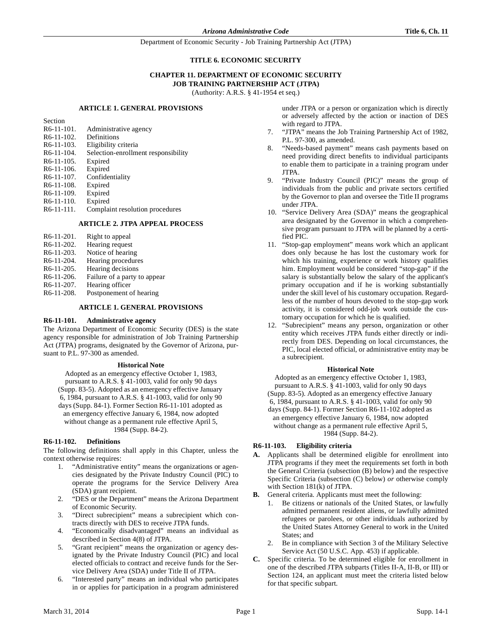## **TITLE 6. ECONOMIC SECURITY**

## **CHAPTER 11. DEPARTMENT OF ECONOMIC SECURITY JOB TRAINING PARTNERSHIP ACT (JTPA)**

(Authority: A.R.S. § 41-1954 et seq.)

#### **ARTICLE 1. GENERAL PROVISIONS**

Section

R6-11-101. Administrative agency R6-11-102. Definitions<br>R6-11-103. Eligibility Eligibility criteria R6-11-104. Selection-enrollment responsibility R6-11-105. Expired R6-11-106. Expired<br>R6-11-107. Confide Confidentiality R6-11-108. Expired R6-11-109. Expired R6-11-110. Expired R6-11-111. Complaint resolution procedures

#### **ARTICLE 2. JTPA APPEAL PROCESS**

| R6-11-201.              | Right to appeal              |
|-------------------------|------------------------------|
| R6-11-202.              | Hearing request              |
| R <sub>6</sub> -11-203. | Notice of hearing            |
| R <sub>6</sub> -11-204. | Hearing procedures           |
| $R6-11-205$ .           | Hearing decisions            |
| R <sub>6</sub> -11-206. | Failure of a party to appear |
| R <sub>6</sub> -11-207. | Hearing officer              |
| R6-11-208.              | Postponement of hearing      |

#### **ARTICLE 1. GENERAL PROVISIONS**

#### **R6-11-101. Administrative agency**

The Arizona Department of Economic Security (DES) is the state agency responsible for administration of Job Training Partnership Act (JTPA) programs, designated by the Governor of Arizona, pursuant to P.L. 97-300 as amended.

#### **Historical Note**

Adopted as an emergency effective October 1, 1983, pursuant to A.R.S. § 41-1003, valid for only 90 days (Supp. 83-5). Adopted as an emergency effective January 6, 1984, pursuant to A.R.S. § 41-1003, valid for only 90 days (Supp. 84-1). Former Section R6-11-101 adopted as an emergency effective January 6, 1984, now adopted without change as a permanent rule effective April 5, 1984 (Supp. 84-2).

#### **R6-11-102. Definitions**

The following definitions shall apply in this Chapter, unless the context otherwise requires:

- 1. "Administrative entity" means the organizations or agencies designated by the Private Industry Council (PIC) to operate the programs for the Service Delivery Area (SDA) grant recipient.
- 2. "DES or the Department" means the Arizona Department of Economic Security.
- 3. "Direct subrecipient" means a subrecipient which contracts directly with DES to receive JTPA funds.
- 4. "Economically disadvantaged" means an individual as described in Section 4(8) of JTPA.
- 5. "Grant recipient" means the organization or agency designated by the Private Industry Council (PIC) and local elected officials to contract and receive funds for the Service Delivery Area (SDA) under Title II of JTPA.
- 6. "Interested party" means an individual who participates in or applies for participation in a program administered

under JTPA or a person or organization which is directly or adversely affected by the action or inaction of DES with regard to JTPA.

- 7. "JTPA" means the Job Training Partnership Act of 1982, P.L. 97-300, as amended.
- 8. "Needs-based payment" means cash payments based on need providing direct benefits to individual participants to enable them to participate in a training program under JTPA.
- 9. "Private Industry Council (PIC)" means the group of individuals from the public and private sectors certified by the Governor to plan and oversee the Title II programs under JTPA.
- 10. "Service Delivery Area (SDA)" means the geographical area designated by the Governor in which a comprehensive program pursuant to JTPA will be planned by a certified PIC.
- 11. "Stop-gap employment" means work which an applicant does only because he has lost the customary work for which his training, experience or work history qualifies him. Employment would be considered "stop-gap" if the salary is substantially below the salary of the applicant's primary occupation and if he is working substantially under the skill level of his customary occupation. Regardless of the number of hours devoted to the stop-gap work activity, it is considered odd-job work outside the customary occupation for which he is qualified.
- 12. "Subrecipient" means any person, organization or other entity which receives JTPA funds either directly or indirectly from DES. Depending on local circumstances, the PIC, local elected official, or administrative entity may be a subrecipient.

#### **Historical Note**

Adopted as an emergency effective October 1, 1983, pursuant to A.R.S. § 41-1003, valid for only 90 days (Supp. 83-5). Adopted as an emergency effective January 6, 1984, pursuant to A.R.S. § 41-1003, valid for only 90 days (Supp. 84-1). Former Section R6-11-102 adopted as an emergency effective January 6, 1984, now adopted without change as a permanent rule effective April 5, 1984 (Supp. 84-2).

#### **R6-11-103. Eligibility criteria**

- **A.** Applicants shall be determined eligible for enrollment into JTPA programs if they meet the requirements set forth in both the General Criteria (subsection (B) below) and the respective Specific Criteria (subsection (C) below) *or* otherwise comply with Section 181(k) of JTPA.
- **B.** General criteria. Applicants must meet the following:
	- Be citizens or nationals of the United States, or lawfully admitted permanent resident aliens, or lawfully admitted refugees or parolees, or other individuals authorized by the United States Attorney General to work in the United States; and
	- 2. Be in compliance with Section 3 of the Military Selective Service Act (50 U.S.C. App. 453) if applicable.
- **C.** Specific criteria. To be determined eligible for enrollment in one of the described JTPA subparts (Titles II-A, II-B, or III) or Section 124, an applicant must meet the criteria listed below for that specific subpart.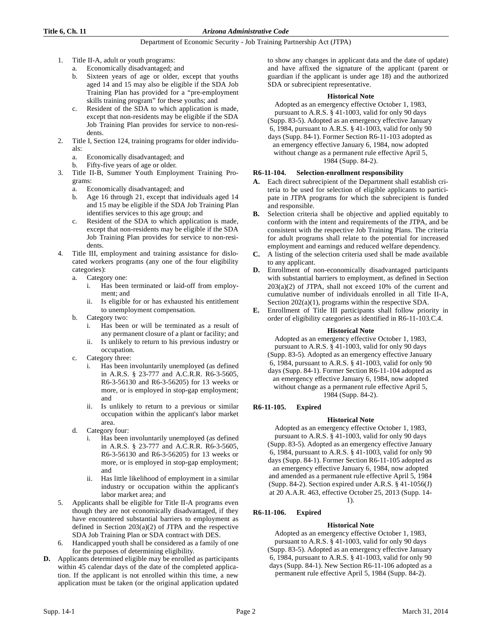- 1. Title II-A, adult or youth programs:
	- a. Economically disadvantaged; and
	- b. Sixteen years of age or older, except that youths aged 14 and 15 may also be eligible if the SDA Job Training Plan has provided for a "pre-employment skills training program" for these youths; and
	- c. Resident of the SDA to which application is made, except that non-residents may be eligible if the SDA Job Training Plan provides for service to non-residents.
- 2. Title I, Section 124, training programs for older individuals:
	- a. Economically disadvantaged; and
	- b. Fifty-five years of age or older.
- 3. Title II-B, Summer Youth Employment Training Programs:
	- a. Economically disadvantaged; and
	- b. Age 16 through 21, except that individuals aged 14 and 15 may be eligible if the SDA Job Training Plan identifies services to this age group; and
	- c. Resident of the SDA to which application is made, except that non-residents may be eligible if the SDA Job Training Plan provides for service to non-residents.
- 4. Title III, employment and training assistance for dislocated workers programs (any one of the four eligibility categories):
	- a. Category one:
		- i. Has been terminated or laid-off from employment; and
		- ii. Is eligible for or has exhausted his entitlement to unemployment compensation.
	- b. Category two:
		- i. Has been or will be terminated as a result of any permanent closure of a plant or facility; and
		- ii. Is unlikely to return to his previous industry or occupation.
	- c. Category three:
		- i. Has been involuntarily unemployed (as defined in A.R.S. § 23-777 and A.C.R.R. R6-3-5605, R6-3-56130 and R6-3-56205) for 13 weeks or more, or is employed in stop-gap employment; and
		- ii. Is unlikely to return to a previous or similar occupation within the applicant's labor market area.
	- d. Category four:
		- i. Has been involuntarily unemployed (as defined in A.R.S. § 23-777 and A.C.R.R. R6-3-5605, R6-3-56130 and R6-3-56205) for 13 weeks or more, or is employed in stop-gap employment; and
		- ii. Has little likelihood of employment in a similar industry or occupation within the applicant's labor market area; and
- 5. Applicants shall be eligible for Title II-A programs even though they are not economically disadvantaged, if they have encountered substantial barriers to employment as defined in Section  $203(a)(2)$  of JTPA and the respective SDA Job Training Plan or SDA contract with DES.
- Handicapped youth shall be considered as a family of one for the purposes of determining eligibility.
- **D.** Applicants determined eligible may be enrolled as participants within 45 calendar days of the date of the completed application. If the applicant is not enrolled within this time, a new application must be taken (or the original application updated

to show any changes in applicant data and the date of update) and have affixed the signature of the applicant (parent or guardian if the applicant is under age 18) and the authorized SDA or subrecipient representative.

#### **Historical Note**

Adopted as an emergency effective October 1, 1983, pursuant to A.R.S. § 41-1003, valid for only 90 days

(Supp. 83-5). Adopted as an emergency effective January 6, 1984, pursuant to A.R.S. § 41-1003, valid for only 90

days (Supp. 84-1). Former Section R6-11-103 adopted as an emergency effective January 6, 1984, now adopted without change as a permanent rule effective April 5, 1984 (Supp. 84-2).

## **R6-11-104. Selection-enrollment responsibility**

- **A.** Each direct subrecipient of the Department shall establish criteria to be used for selection of eligible applicants to participate in JTPA programs for which the subrecipient is funded and responsible.
- **B.** Selection criteria shall be objective and applied equitably to conform with the intent and requirements of the JTPA, and be consistent with the respective Job Training Plans. The criteria for adult programs shall relate to the potential for increased employment and earnings and reduced welfare dependency.
- **C.** A listing of the selection criteria used shall be made available to any applicant.
- **D.** Enrollment of non-economically disadvantaged participants with substantial barriers to employment, as defined in Section 203(a)(2) of JTPA, shall not exceed 10% of the current and cumulative number of individuals enrolled in all Title II-A, Section 202(a)(1), programs within the respective SDA.
- **E.** Enrollment of Title III participants shall follow priority in order of eligibility categories as identified in R6-11-103.C.4.

#### **Historical Note**

Adopted as an emergency effective October 1, 1983, pursuant to A.R.S. § 41-1003, valid for only 90 days (Supp. 83-5). Adopted as an emergency effective January 6, 1984, pursuant to A.R.S. § 41-1003, valid for only 90 days (Supp. 84-1). Former Section R6-11-104 adopted as an emergency effective January 6, 1984, now adopted without change as a permanent rule effective April 5, 1984 (Supp. 84-2).

# **R6-11-105. Expired**

# **Historical Note**

Adopted as an emergency effective October 1, 1983, pursuant to A.R.S. § 41-1003, valid for only 90 days (Supp. 83-5). Adopted as an emergency effective January 6, 1984, pursuant to A.R.S. § 41-1003, valid for only 90 days (Supp. 84-1). Former Section R6-11-105 adopted as an emergency effective January 6, 1984, now adopted and amended as a permanent rule effective April 5, 1984 (Supp. 84-2). Section expired under A.R.S. § 41-1056(J) at 20 A.A.R. 463, effective October 25, 2013 (Supp. 14- 1).

# **R6-11-106. Expired**

# **Historical Note**

Adopted as an emergency effective October 1, 1983, pursuant to A.R.S. § 41-1003, valid for only 90 days (Supp. 83-5). Adopted as an emergency effective January 6, 1984, pursuant to A.R.S. § 41-1003, valid for only 90 days (Supp. 84-1). New Section R6-11-106 adopted as a permanent rule effective April 5, 1984 (Supp. 84-2).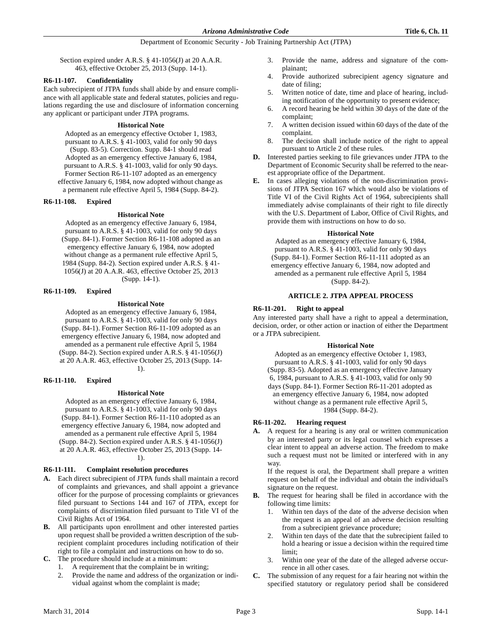Section expired under A.R.S. § 41-1056(J) at 20 A.A.R. 463, effective October 25, 2013 (Supp. 14-1).

#### **R6-11-107. Confidentiality**

Each subrecipient of JTPA funds shall abide by and ensure compliance with all applicable state and federal statutes, policies and regulations regarding the use and disclosure of information concerning any applicant or participant under JTPA programs.

#### **Historical Note**

Adopted as an emergency effective October 1, 1983, pursuant to A.R.S. § 41-1003, valid for only 90 days (Supp. 83-5). Correction. Supp. 84-1 should read Adopted as an emergency effective January 6, 1984, pursuant to A.R.S. § 41-1003, valid for only 90 days. Former Section R6-11-107 adopted as an emergency effective January 6, 1984, now adopted without change as a permanent rule effective April 5, 1984 (Supp. 84-2).

#### **R6-11-108. Expired**

## **Historical Note**

Adopted as an emergency effective January 6, 1984, pursuant to A.R.S. § 41-1003, valid for only 90 days (Supp. 84-1). Former Section R6-11-108 adopted as an emergency effective January 6, 1984, now adopted without change as a permanent rule effective April 5, 1984 (Supp. 84-2). Section expired under A.R.S. § 41- 1056(J) at 20 A.A.R. 463, effective October 25, 2013 (Supp. 14-1).

## **R6-11-109. Expired**

## **Historical Note**

Adopted as an emergency effective January 6, 1984, pursuant to A.R.S. § 41-1003, valid for only 90 days (Supp. 84-1). Former Section R6-11-109 adopted as an emergency effective January 6, 1984, now adopted and amended as a permanent rule effective April 5, 1984 (Supp. 84-2). Section expired under A.R.S. § 41-1056(J) at 20 A.A.R. 463, effective October 25, 2013 (Supp. 14-

1).

#### **R6-11-110. Expired**

#### **Historical Note**

Adopted as an emergency effective January 6, 1984, pursuant to A.R.S. § 41-1003, valid for only 90 days (Supp. 84-1). Former Section R6-11-110 adopted as an emergency effective January 6, 1984, now adopted and amended as a permanent rule effective April 5, 1984 (Supp. 84-2). Section expired under A.R.S. § 41-1056(J) at 20 A.A.R. 463, effective October 25, 2013 (Supp. 14- 1).

# **R6-11-111. Complaint resolution procedures**

- **A.** Each direct subrecipient of JTPA funds shall maintain a record of complaints and grievances, and shall appoint a grievance officer for the purpose of processing complaints or grievances filed pursuant to Sections 144 and 167 of JTPA, except for complaints of discrimination filed pursuant to Title VI of the Civil Rights Act of 1964.
- **B.** All participants upon enrollment and other interested parties upon request shall be provided a written description of the subrecipient complaint procedures including notification of their right to file a complaint and instructions on how to do so.
- **C.** The procedure should include at a minimum:
	- 1. A requirement that the complaint be in writing;
	- 2. Provide the name and address of the organization or individual against whom the complaint is made;
- 3. Provide the name, address and signature of the complainant;
- 4. Provide authorized subrecipient agency signature and date of filing;
- 5. Written notice of date, time and place of hearing, including notification of the opportunity to present evidence;
- 6. A record hearing be held within 30 days of the date of the complaint;
- 7. A written decision issued within 60 days of the date of the complaint.
- 8. The decision shall include notice of the right to appeal pursuant to Article 2 of these rules.
- **D.** Interested parties seeking to file grievances under JTPA to the Department of Economic Security shall be referred to the nearest appropriate office of the Department.
- **E.** In cases alleging violations of the non-discrimination provisions of JTPA Section 167 which would also be violations of Title VI of the Civil Rights Act of 1964, subrecipients shall immediately advise complainants of their right to file directly with the U.S. Department of Labor, Office of Civil Rights, and provide them with instructions on how to do so.

#### **Historical Note**

Adapted as an emergency effective January 6, 1984, pursuant to A.R.S. § 41-1003, valid for only 90 days (Supp. 84-1). Former Section R6-11-111 adopted as an emergency effective January 6, 1984, now adopted and amended as a permanent rule effective April 5, 1984 (Supp. 84-2).

# **ARTICLE 2. JTPA APPEAL PROCESS**

## **R6-11-201. Right to appeal**

Any interested party shall have a right to appeal a determination, decision, order, or other action or inaction of either the Department or a JTPA subrecipient.

#### **Historical Note**

Adopted as an emergency effective October 1, 1983, pursuant to A.R.S. § 41-1003, valid for only 90 days (Supp. 83-5). Adopted as an emergency effective January 6, 1984, pursuant to A.R.S. § 41-1003, valid for only 90 days (Supp. 84-1). Former Section R6-11-201 adopted as an emergency effective January 6, 1984, now adopted without change as a permanent rule effective April 5, 1984 (Supp. 84-2).

#### **R6-11-202. Hearing request**

**A.** A request for a hearing is any oral or written communication by an interested party or its legal counsel which expresses a clear intent to appeal an adverse action. The freedom to make such a request must not be limited or interfered with in any way.

If the request is oral, the Department shall prepare a written request on behalf of the individual and obtain the individual's signature on the request.

- **B.** The request for hearing shall be filed in accordance with the following time limits:
	- 1. Within ten days of the date of the adverse decision when the request is an appeal of an adverse decision resulting from a subrecipient grievance procedure;
	- 2. Within ten days of the date that the subrecipient failed to hold a hearing or issue a decision within the required time limit;
	- 3. Within one year of the date of the alleged adverse occurrence in all other cases.
- **C.** The submission of any request for a fair hearing not within the specified statutory or regulatory period shall be considered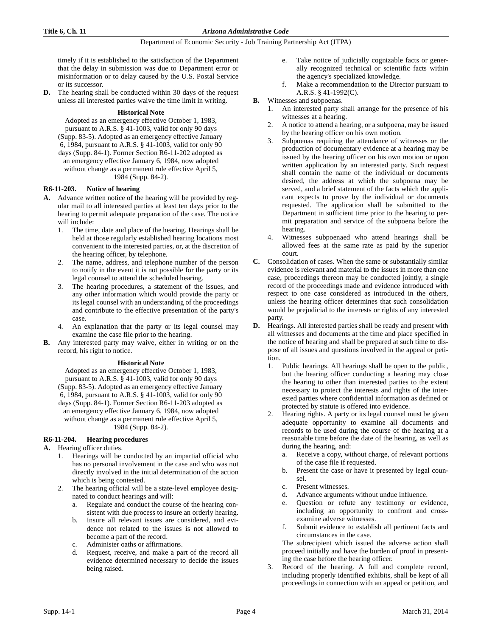timely if it is established to the satisfaction of the Department that the delay in submission was due to Department error or misinformation or to delay caused by the U.S. Postal Service or its successor.

**D.** The hearing shall be conducted within 30 days of the request unless all interested parties waive the time limit in writing.

#### **Historical Note**

Adopted as an emergency effective October 1, 1983, pursuant to A.R.S. § 41-1003, valid for only 90 days (Supp. 83-5). Adopted as an emergency effective January 6, 1984, pursuant to A.R.S. § 41-1003, valid for only 90 days (Supp. 84-1). Former Section R6-11-202 adopted as an emergency effective January 6, 1984, now adopted without change as a permanent rule effective April 5, 1984 (Supp. 84-2).

# **R6-11-203. Notice of hearing**

- **A.** Advance written notice of the hearing will be provided by regular mail to all interested parties at least ten days prior to the hearing to permit adequate preparation of the case. The notice will include:
	- 1. The time, date and place of the hearing. Hearings shall be held at those regularly established hearing locations most convenient to the interested parties, or, at the discretion of the hearing officer, by telephone.
	- 2. The name, address, and telephone number of the person to notify in the event it is not possible for the party or its legal counsel to attend the scheduled hearing.
	- The hearing procedures, a statement of the issues, and any other information which would provide the party or its legal counsel with an understanding of the proceedings and contribute to the effective presentation of the party's case.
	- 4. An explanation that the party or its legal counsel may examine the case file prior to the hearing.
- **B.** Any interested party may waive, either in writing or on the record, his right to notice.

#### **Historical Note**

Adopted as an emergency effective October 1, 1983, pursuant to A.R.S. § 41-1003, valid for only 90 days (Supp. 83-5). Adopted as an emergency effective January 6, 1984, pursuant to A.R.S. § 41-1003, valid for only 90 days (Supp. 84-1). Former Section R6-11-203 adopted as an emergency effective January 6, 1984, now adopted without change as a permanent rule effective April 5, 1984 (Supp. 84-2).

# **R6-11-204. Hearing procedures**

#### **A.** Hearing officer duties.

- Hearings will be conducted by an impartial official who has no personal involvement in the case and who was not directly involved in the initial determination of the action which is being contested.
- The hearing official will be a state-level employee designated to conduct hearings and will:
	- a. Regulate and conduct the course of the hearing consistent with due process to insure an orderly hearing.
	- b. Insure all relevant issues are considered, and evidence not related to the issues is not allowed to become a part of the record.
	- c. Administer oaths or affirmations.
	- d. Request, receive, and make a part of the record all evidence determined necessary to decide the issues being raised.
- e. Take notice of judicially cognizable facts or generally recognized technical or scientific facts within the agency's specialized knowledge.
- f. Make a recommendation to the Director pursuant to A.R.S. § 41-1992(C).
- **B.** Witnesses and subpoenas.
	- 1. An interested party shall arrange for the presence of his witnesses at a hearing.
	- 2. A notice to attend a hearing, or a subpoena, may be issued by the hearing officer on his own motion.
	- 3. Subpoenas requiring the attendance of witnesses or the production of documentary evidence at a hearing may be issued by the hearing officer on his own motion or upon written application by an interested party. Such request shall contain the name of the individual or documents desired, the address at which the subpoena may be served, and a brief statement of the facts which the applicant expects to prove by the individual or documents requested. The application shall be submitted to the Department in sufficient time prior to the hearing to permit preparation and service of the subpoena before the hearing.
	- 4. Witnesses subpoenaed who attend hearings shall be allowed fees at the same rate as paid by the superior court.
- **C.** Consolidation of cases. When the same or substantially similar evidence is relevant and material to the issues in more than one case, proceedings thereon may be conducted jointly, a single record of the proceedings made and evidence introduced with respect to one case considered as introduced in the others, unless the hearing officer determines that such consolidation would be prejudicial to the interests or rights of any interested party.
- **D.** Hearings. All interested parties shall be ready and present with all witnesses and documents at the time and place specified in the notice of hearing and shall be prepared at such time to dispose of all issues and questions involved in the appeal or petition.
	- 1. Public hearings. All hearings shall be open to the public, but the hearing officer conducting a hearing may close the hearing to other than interested parties to the extent necessary to protect the interests and rights of the interested parties where confidential information as defined or protected by statute is offered into evidence.
	- 2. Hearing rights. A party or its legal counsel must be given adequate opportunity to examine all documents and records to be used during the course of the hearing at a reasonable time before the date of the hearing, as well as during the hearing, and:
		- a. Receive a copy, without charge, of relevant portions of the case file if requested.
		- b. Present the case or have it presented by legal counsel.
		- c. Present witnesses.
		- d. Advance arguments without undue influence.
		- e. Question or refute any testimony or evidence, including an opportunity to confront and crossexamine adverse witnesses.
		- f. Submit evidence to establish all pertinent facts and circumstances in the case.

The subrecipient which issued the adverse action shall proceed initially and have the burden of proof in presenting the case before the hearing officer.

3. Record of the hearing. A full and complete record, including properly identified exhibits, shall be kept of all proceedings in connection with an appeal or petition, and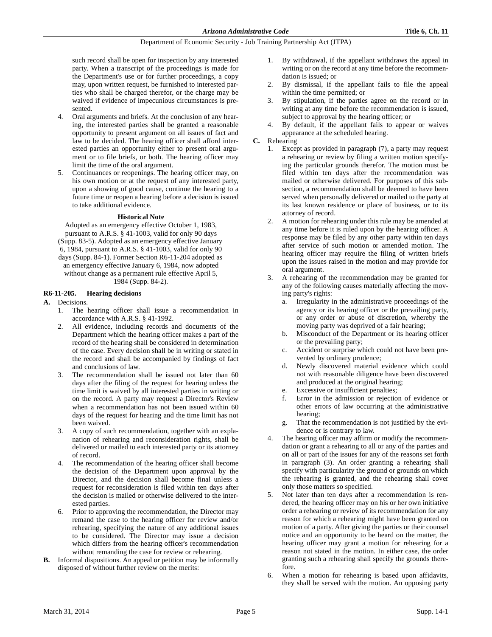such record shall be open for inspection by any interested party. When a transcript of the proceedings is made for the Department's use or for further proceedings, a copy may, upon written request, be furnished to interested parties who shall be charged therefor, or the charge may be waived if evidence of impecunious circumstances is presented.

- 4. Oral arguments and briefs. At the conclusion of any hearing, the interested parties shall be granted a reasonable opportunity to present argument on all issues of fact and law to be decided. The hearing officer shall afford interested parties an opportunity either to present oral argument or to file briefs, or both. The hearing officer may limit the time of the oral argument.
- 5. Continuances or reopenings. The hearing officer may, on his own motion or at the request of any interested party, upon a showing of good cause, continue the hearing to a future time or reopen a hearing before a decision is issued to take additional evidence.

#### **Historical Note**

Adopted as an emergency effective October 1, 1983, pursuant to A.R.S. § 41-1003, valid for only 90 days (Supp. 83-5). Adopted as an emergency effective January 6, 1984, pursuant to A.R.S. § 41-1003, valid for only 90 days (Supp. 84-1). Former Section R6-11-204 adopted as an emergency effective January 6, 1984, now adopted without change as a permanent rule effective April 5, 1984 (Supp. 84-2).

## **R6-11-205. Hearing decisions**

# **A.** Decisions.

- 1. The hearing officer shall issue a recommendation in accordance with A.R.S. § 41-1992.
- All evidence, including records and documents of the Department which the hearing officer makes a part of the record of the hearing shall be considered in determination of the case. Every decision shall be in writing or stated in the record and shall be accompanied by findings of fact and conclusions of law.
- 3. The recommendation shall be issued not later than 60 days after the filing of the request for hearing unless the time limit is waived by all interested parties in writing or on the record. A party may request a Director's Review when a recommendation has not been issued within 60 days of the request for hearing and the time limit has not been waived.
- 3. A copy of such recommendation, together with an explanation of rehearing and reconsideration rights, shall be delivered or mailed to each interested party or its attorney of record.
- 4. The recommendation of the hearing officer shall become the decision of the Department upon approval by the Director, and the decision shall become final unless a request for reconsideration is filed within ten days after the decision is mailed or otherwise delivered to the interested parties.
- 6. Prior to approving the recommendation, the Director may remand the case to the hearing officer for review and/or rehearing, specifying the nature of any additional issues to be considered. The Director may issue a decision which differs from the hearing officer's recommendation without remanding the case for review or rehearing.
- **B.** Informal dispositions. An appeal or petition may be informally disposed of without further review on the merits:
- 1. By withdrawal, if the appellant withdraws the appeal in writing or on the record at any time before the recommendation is issued; or
- 2. By dismissal, if the appellant fails to file the appeal within the time permitted; or
- 3. By stipulation, if the parties agree on the record or in writing at any time before the recommendation is issued, subject to approval by the hearing officer; or
- By default, if the appellant fails to appear or waives appearance at the scheduled hearing.
- **C.** Rehearing
	- 1. Except as provided in paragraph (7), a party may request a rehearing or review by filing a written motion specifying the particular grounds therefor. The motion must be filed within ten days after the recommendation was mailed or otherwise delivered. For purposes of this subsection, a recommendation shall be deemed to have been served when personally delivered or mailed to the party at its last known residence or place of business, or to its attorney of record.
	- 2. A motion for rehearing under this rule may be amended at any time before it is ruled upon by the hearing officer. A response may be filed by any other party within ten days after service of such motion or amended motion. The hearing officer may require the filing of written briefs upon the issues raised in the motion and may provide for oral argument.
	- 3. A rehearing of the recommendation may be granted for any of the following causes materially affecting the moving party's rights:
		- a. Irregularity in the administrative proceedings of the agency or its hearing officer or the prevailing party, or any order or abuse of discretion, whereby the moving party was deprived of a fair hearing;
		- b. Misconduct of the Department or its hearing officer or the prevailing party;
		- c. Accident or surprise which could not have been prevented by ordinary prudence;
		- d. Newly discovered material evidence which could not with reasonable diligence have been discovered and produced at the original hearing;
		- e. Excessive or insufficient penalties;
		- f. Error in the admission or rejection of evidence or other errors of law occurring at the administrative hearing;
		- g. That the recommendation is not justified by the evidence or is contrary to law.
	- 4. The hearing officer may affirm or modify the recommendation or grant a rehearing to all or any of the parties and on all or part of the issues for any of the reasons set forth in paragraph (3). An order granting a rehearing shall specify with particularity the ground or grounds on which the rehearing is granted, and the rehearing shall cover only those matters so specified.
	- 5. Not later than ten days after a recommendation is rendered, the hearing officer may on his or her own initiative order a rehearing or review of its recommendation for any reason for which a rehearing might have been granted on motion of a party. After giving the parties or their counsel notice and an opportunity to be heard on the matter, the hearing officer may grant a motion for rehearing for a reason not stated in the motion. In either case, the order granting such a rehearing shall specify the grounds therefore.
	- When a motion for rehearing is based upon affidavits, they shall be served with the motion. An opposing party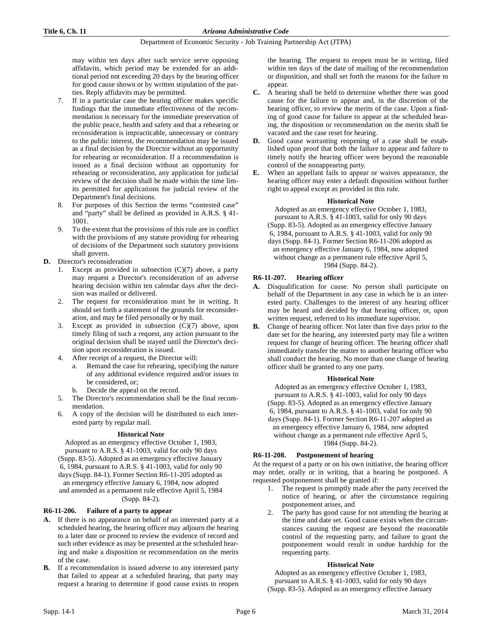may within ten days after such service serve opposing affidavits, which period may be extended for an additional period not exceeding 20 days by the hearing officer for good cause shown or by written stipulation of the parties. Reply affidavits may be permitted.

- 7. If in a particular case the hearing officer makes specific findings that the immediate effectiveness of the recommendation is necessary for the immediate preservation of the public peace, health and safety and that a rehearing or reconsideration is impracticable, unnecessary or contrary to the public interest, the recommendation may be issued as a final decision by the Director without an opportunity for rehearing or reconsideration. If a recommendation is issued as a final decision without an opportunity for rehearing or reconsideration, any application for judicial review of the decision shall be made within the time limits permitted for applications for judicial review of the Department's final decisions.
- 8. For purposes of this Section the terms "contested case" and "party" shall be defined as provided in A.R.S. § 41- 1001.
- 9. To the extent that the provisions of this rule are in conflict with the provisions of any statute providing for rehearing of decisions of the Department such statutory provisions shall govern.
- **D.** Director's reconsideration
	- 1. Except as provided in subsection  $(C)(7)$  above, a party may request a Director's reconsideration of an adverse hearing decision within ten calendar days after the decision was mailed or delivered.
	- 2. The request for reconsideration must be in writing. It should set forth a statement of the grounds for reconsideration, and may be filed personally or by mail.
	- 3. Except as provided in subsection (C)(7) above, upon timely filing of such a request, any action pursuant to the original decision shall be stayed until the Director's decision upon reconsideration is issued.
	- 4. After receipt of a request, the Director will:
		- a. Remand the case for rehearing, specifying the nature of any additional evidence required and/or issues to be considered, or;
		- b. Decide the appeal on the record.
	- 5. The Director's recommendation shall be the final recommendation.
	- 6. A copy of the decision will be distributed to each interested party by regular mail.

#### **Historical Note**

Adopted as an emergency effective October 1, 1983, pursuant to A.R.S. § 41-1003, valid for only 90 days (Supp. 83-5). Adopted as an emergency effective January 6, 1984, pursuant to A.R.S. § 41-1003, valid for only 90 days (Supp. 84-1). Former Section R6-11-205 adopted as an emergency effective January 6, 1984, now adopted and amended as a permanent rule effective April 5, 1984 (Supp. 84-2).

# **R6-11-206. Failure of a party to appear**

- **A.** If there is no appearance on behalf of an interested party at a scheduled hearing, the hearing officer may adjourn the hearing to a later date or proceed to review the evidence of record and such other evidence as may be presented at the scheduled hearing and make a disposition or recommendation on the merits of the case.
- **B.** If a recommendation is issued adverse to any interested party that failed to appear at a scheduled hearing, that party may request a hearing to determine if good cause exists to reopen

the hearing. The request to reopen must be in writing, filed within ten days of the date of mailing of the recommendation or disposition, and shall set forth the reasons for the failure to appear.

- **C.** A hearing shall be held to determine whether there was good cause for the failure to appear and, in the discretion of the hearing officer, to review the merits of the case. Upon a finding of good cause for failure to appear at the scheduled hearing, the disposition or recommendation on the merits shall be vacated and the case reset for hearing.
- **D.** Good cause warranting reopening of a case shall be established upon proof that both the failure to appear and failure to timely notify the hearing officer were beyond the reasonable control of the nonappearing party.
- **E.** When an appellant fails to appear or waives appearance, the hearing officer may enter a default disposition without further right to appeal except as provided in this rule.

#### **Historical Note**

Adopted as an emergency effective October 1, 1983, pursuant to A.R.S. § 41-1003, valid for only 90 days (Supp. 83-5). Adopted as an emergency effective January 6, 1984, pursuant to A.R.S. § 41-1003, valid for only 90 days (Supp. 84-1). Former Section R6-11-206 adopted as an emergency effective January 6, 1984, now adopted without change as a permanent rule effective April 5, 1984 (Supp. 84-2).

# **R6-11-207. Hearing officer**

- **A.** Disqualification for cause. No person shall participate on behalf of the Department in any case in which he is an interested party. Challenges to the interest of any hearing officer may be heard and decided by that hearing officer, or, upon written request, referred to his immediate supervisor.
- **B.** Change of hearing officer. Not later than five days prior to the date set for the hearing, any interested party may file a written request for change of hearing officer. The hearing officer shall immediately transfer the matter to another hearing officer who shall conduct the hearing. No more than one change of hearing officer shall be granted to any one party.

#### **Historical Note**

Adopted as an emergency effective October 1, 1983, pursuant to A.R.S. § 41-1003, valid for only 90 days (Supp. 83-5). Adopted as an emergency effective January 6, 1984, pursuant to A.R.S. § 41-1003, valid for only 90 days (Supp. 84-1). Former Section R6-11-207 adopted as an emergency effective January 6, 1984, now adopted without change as a permanent rule effective April 5, 1984 (Supp. 84-2).

# **R6-11-208. Postponement of hearing**

At the request of a party or on his own initiative, the hearing officer may order, orally or in writing, that a hearing be postponed. A requested postponement shall be granted if:

- 1. The request is promptly made after the party received the notice of hearing, or after the circumstance requiring postponement arises, and
- 2. The party has good cause for not attending the hearing at the time and date set. Good cause exists when the circumstances causing the request are beyond the reasonable control of the requesting party, and failure to grant the postponement would result in undue hardship for the requesting party.

#### **Historical Note**

Adopted as an emergency effective October 1, 1983, pursuant to A.R.S. § 41-1003, valid for only 90 days (Supp. 83-5). Adopted as an emergency effective January